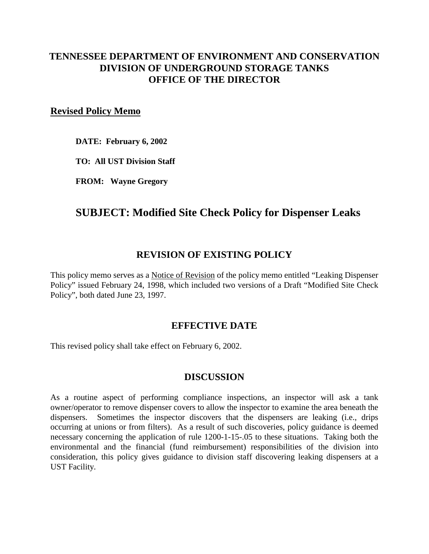## **TENNESSEE DEPARTMENT OF ENVIRONMENT AND CONSERVATION DIVISION OF UNDERGROUND STORAGE TANKS OFFICE OF THE DIRECTOR**

#### **Revised Policy Memo**

**DATE: February 6, 2002** 

**TO: All UST Division Staff** 

**FROM: Wayne Gregory** 

# **SUBJECT: Modified Site Check Policy for Dispenser Leaks**

### **REVISION OF EXISTING POLICY**

This policy memo serves as a Notice of Revision of the policy memo entitled "Leaking Dispenser Policy" issued February 24, 1998, which included two versions of a Draft "Modified Site Check Policy", both dated June 23, 1997.

#### **EFFECTIVE DATE**

This revised policy shall take effect on February 6, 2002.

#### **DISCUSSION**

As a routine aspect of performing compliance inspections, an inspector will ask a tank owner/operator to remove dispenser covers to allow the inspector to examine the area beneath the dispensers. Sometimes the inspector discovers that the dispensers are leaking (i.e., drips occurring at unions or from filters). As a result of such discoveries, policy guidance is deemed necessary concerning the application of rule 1200-1-15-.05 to these situations. Taking both the environmental and the financial (fund reimbursement) responsibilities of the division into consideration, this policy gives guidance to division staff discovering leaking dispensers at a UST Facility.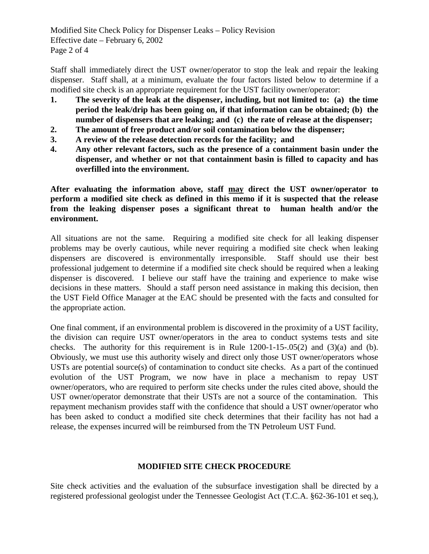Modified Site Check Policy for Dispenser Leaks – Policy Revision Effective date – February 6, 2002 Page 2 of 4

Staff shall immediately direct the UST owner/operator to stop the leak and repair the leaking dispenser. Staff shall, at a minimum, evaluate the four factors listed below to determine if a modified site check is an appropriate requirement for the UST facility owner/operator:

- **1. The severity of the leak at the dispenser, including, but not limited to: (a) the time period the leak/drip has been going on, if that information can be obtained; (b) the number of dispensers that are leaking; and (c) the rate of release at the dispenser;**
- **2. The amount of free product and/or soil contamination below the dispenser;**
- **3. A review of the release detection records for the facility; and**
- **4. Any other relevant factors, such as the presence of a containment basin under the dispenser, and whether or not that containment basin is filled to capacity and has overfilled into the environment.**

**After evaluating the information above, staff may direct the UST owner/operator to perform a modified site check as defined in this memo if it is suspected that the release from the leaking dispenser poses a significant threat to human health and/or the environment.** 

All situations are not the same. Requiring a modified site check for all leaking dispenser problems may be overly cautious, while never requiring a modified site check when leaking dispensers are discovered is environmentally irresponsible. Staff should use their best professional judgement to determine if a modified site check should be required when a leaking dispenser is discovered. I believe our staff have the training and experience to make wise decisions in these matters. Should a staff person need assistance in making this decision, then the UST Field Office Manager at the EAC should be presented with the facts and consulted for the appropriate action.

One final comment, if an environmental problem is discovered in the proximity of a UST facility, the division can require UST owner/operators in the area to conduct systems tests and site checks. The authority for this requirement is in Rule  $1200-1-15-0.05(2)$  and  $(3)(a)$  and  $(b)$ . Obviously, we must use this authority wisely and direct only those UST owner/operators whose USTs are potential source(s) of contamination to conduct site checks. As a part of the continued evolution of the UST Program, we now have in place a mechanism to repay UST owner/operators, who are required to perform site checks under the rules cited above, should the UST owner/operator demonstrate that their USTs are not a source of the contamination. This repayment mechanism provides staff with the confidence that should a UST owner/operator who has been asked to conduct a modified site check determines that their facility has not had a release, the expenses incurred will be reimbursed from the TN Petroleum UST Fund.

#### **MODIFIED SITE CHECK PROCEDURE**

Site check activities and the evaluation of the subsurface investigation shall be directed by a registered professional geologist under the Tennessee Geologist Act (T.C.A. §62-36-101 et seq.),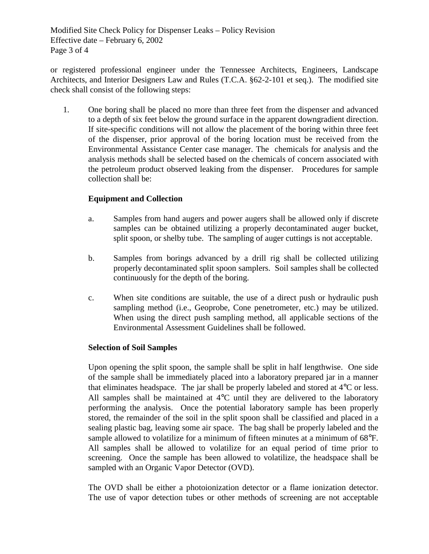Modified Site Check Policy for Dispenser Leaks – Policy Revision Effective date – February 6, 2002 Page 3 of 4

or registered professional engineer under the Tennessee Architects, Engineers, Landscape Architects, and Interior Designers Law and Rules (T.C.A. §62-2-101 et seq.). The modified site check shall consist of the following steps:

1. One boring shall be placed no more than three feet from the dispenser and advanced to a depth of six feet below the ground surface in the apparent downgradient direction. If site-specific conditions will not allow the placement of the boring within three feet of the dispenser, prior approval of the boring location must be received from the Environmental Assistance Center case manager. The chemicals for analysis and the analysis methods shall be selected based on the chemicals of concern associated with the petroleum product observed leaking from the dispenser. Procedures for sample collection shall be:

#### **Equipment and Collection**

- a. Samples from hand augers and power augers shall be allowed only if discrete samples can be obtained utilizing a properly decontaminated auger bucket, split spoon, or shelby tube. The sampling of auger cuttings is not acceptable.
- b. Samples from borings advanced by a drill rig shall be collected utilizing properly decontaminated split spoon samplers. Soil samples shall be collected continuously for the depth of the boring.
- c. When site conditions are suitable, the use of a direct push or hydraulic push sampling method (i.e., Geoprobe, Cone penetrometer, etc.) may be utilized. When using the direct push sampling method, all applicable sections of the Environmental Assessment Guidelines shall be followed.

#### **Selection of Soil Samples**

Upon opening the split spoon, the sample shall be split in half lengthwise. One side of the sample shall be immediately placed into a laboratory prepared jar in a manner that eliminates headspace. The jar shall be properly labeled and stored at 4°C or less. All samples shall be maintained at  $4^{\circ}$ C until they are delivered to the laboratory performing the analysis. Once the potential laboratory sample has been properly stored, the remainder of the soil in the split spoon shall be classified and placed in a sealing plastic bag, leaving some air space. The bag shall be properly labeled and the sample allowed to volatilize for a minimum of fifteen minutes at a minimum of 68°F. All samples shall be allowed to volatilize for an equal period of time prior to screening. Once the sample has been allowed to volatilize, the headspace shall be sampled with an Organic Vapor Detector (OVD).

The OVD shall be either a photoionization detector or a flame ionization detector. The use of vapor detection tubes or other methods of screening are not acceptable